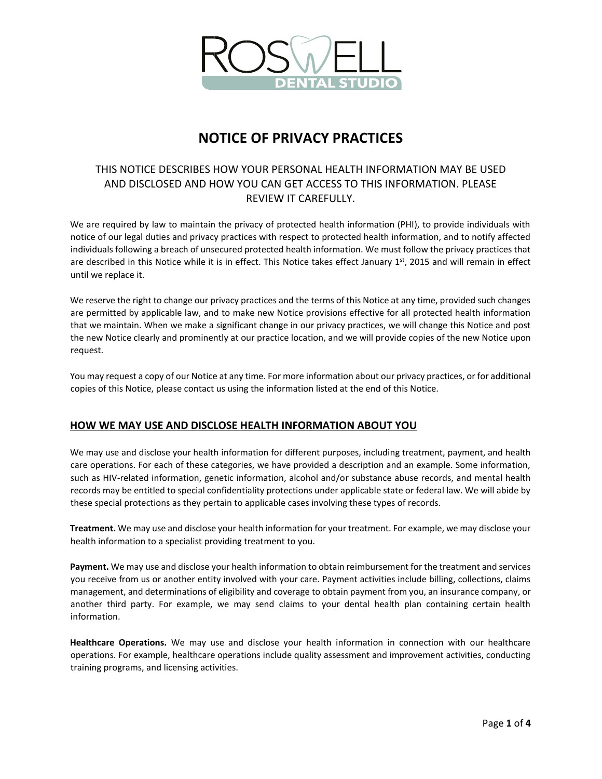

# **NOTICE OF PRIVACY PRACTICES**

## THIS NOTICE DESCRIBES HOW YOUR PERSONAL HEALTH INFORMATION MAY BE USED AND DISCLOSED AND HOW YOU CAN GET ACCESS TO THIS INFORMATION. PLEASE REVIEW IT CAREFULLY.

We are required by law to maintain the privacy of protected health information (PHI), to provide individuals with notice of our legal duties and privacy practices with respect to protected health information, and to notify affected individuals following a breach of unsecured protected health information. We must follow the privacy practices that are described in this Notice while it is in effect. This Notice takes effect January 1st, 2015 and will remain in effect until we replace it.

We reserve the right to change our privacy practices and the terms of this Notice at any time, provided such changes are permitted by applicable law, and to make new Notice provisions effective for all protected health information that we maintain. When we make a significant change in our privacy practices, we will change this Notice and post the new Notice clearly and prominently at our practice location, and we will provide copies of the new Notice upon request.

You may request a copy of our Notice at any time. For more information about our privacy practices, or for additional copies of this Notice, please contact us using the information listed at the end of this Notice.

### **HOW WE MAY USE AND DISCLOSE HEALTH INFORMATION ABOUT YOU**

We may use and disclose your health information for different purposes, including treatment, payment, and health care operations. For each of these categories, we have provided a description and an example. Some information, such as HIV-related information, genetic information, alcohol and/or substance abuse records, and mental health records may be entitled to special confidentiality protections under applicable state or federal law. We will abide by these special protections as they pertain to applicable cases involving these types of records.

**Treatment.** We may use and disclose your health information for your treatment. For example, we may disclose your health information to a specialist providing treatment to you.

**Payment.** We may use and disclose your health information to obtain reimbursement for the treatment and services you receive from us or another entity involved with your care. Payment activities include billing, collections, claims management, and determinations of eligibility and coverage to obtain payment from you, an insurance company, or another third party. For example, we may send claims to your dental health plan containing certain health information.

**Healthcare Operations.** We may use and disclose your health information in connection with our healthcare operations. For example, healthcare operations include quality assessment and improvement activities, conducting training programs, and licensing activities.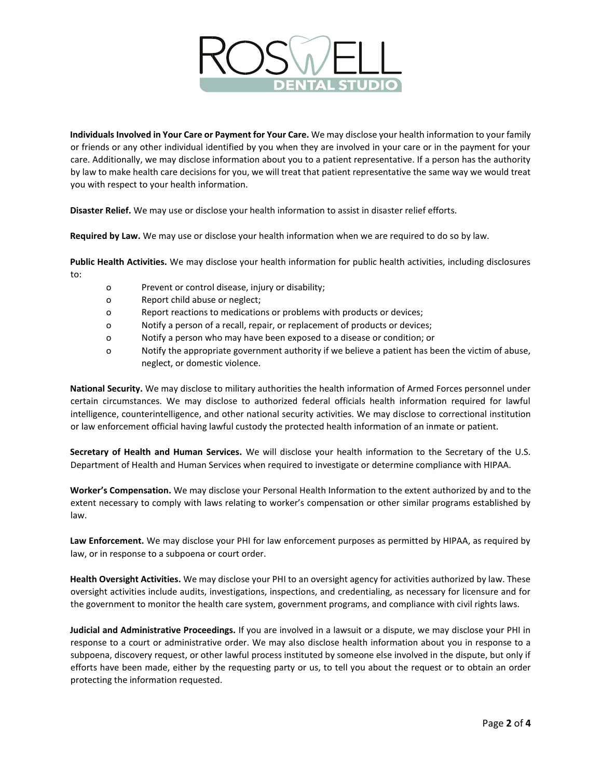

**Individuals Involved in Your Care or Payment for Your Care.** We may disclose your health information to your family or friends or any other individual identified by you when they are involved in your care or in the payment for your care. Additionally, we may disclose information about you to a patient representative. If a person has the authority by law to make health care decisions for you, we will treat that patient representative the same way we would treat you with respect to your health information.

**Disaster Relief.** We may use or disclose your health information to assist in disaster relief efforts.

**Required by Law.** We may use or disclose your health information when we are required to do so by law.

**Public Health Activities.** We may disclose your health information for public health activities, including disclosures to:

- o Prevent or control disease, injury or disability;
- o Report child abuse or neglect;
- o Report reactions to medications or problems with products or devices;
- o Notify a person of a recall, repair, or replacement of products or devices;
- o Notify a person who may have been exposed to a disease or condition; or
- o Notify the appropriate government authority if we believe a patient has been the victim of abuse, neglect, or domestic violence.

**National Security.** We may disclose to military authorities the health information of Armed Forces personnel under certain circumstances. We may disclose to authorized federal officials health information required for lawful intelligence, counterintelligence, and other national security activities. We may disclose to correctional institution or law enforcement official having lawful custody the protected health information of an inmate or patient.

**Secretary of Health and Human Services.** We will disclose your health information to the Secretary of the U.S. Department of Health and Human Services when required to investigate or determine compliance with HIPAA.

**Worker's Compensation.** We may disclose your Personal Health Information to the extent authorized by and to the extent necessary to comply with laws relating to worker's compensation or other similar programs established by law.

**Law Enforcement.** We may disclose your PHI for law enforcement purposes as permitted by HIPAA, as required by law, or in response to a subpoena or court order.

**Health Oversight Activities.** We may disclose your PHI to an oversight agency for activities authorized by law. These oversight activities include audits, investigations, inspections, and credentialing, as necessary for licensure and for the government to monitor the health care system, government programs, and compliance with civil rights laws.

**Judicial and Administrative Proceedings.** If you are involved in a lawsuit or a dispute, we may disclose your PHI in response to a court or administrative order. We may also disclose health information about you in response to a subpoena, discovery request, or other lawful process instituted by someone else involved in the dispute, but only if efforts have been made, either by the requesting party or us, to tell you about the request or to obtain an order protecting the information requested.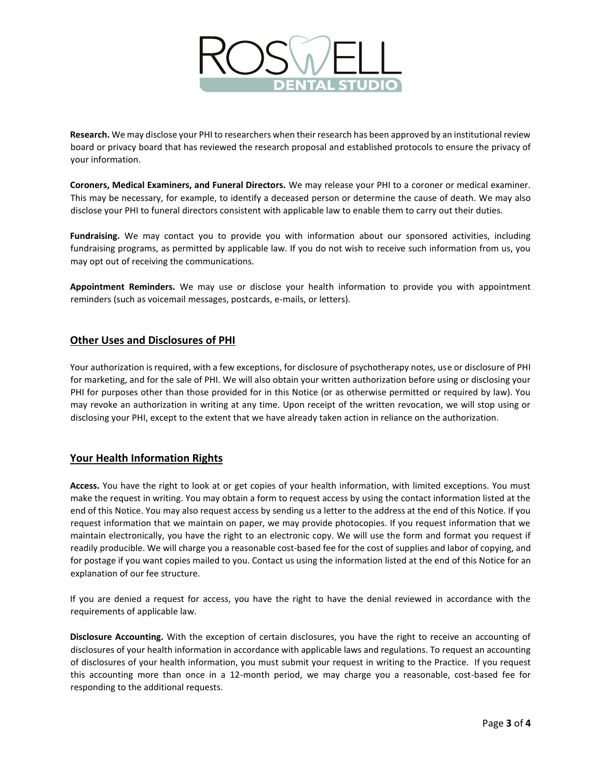

**Research.** We may disclose your PHI to researchers when their research has been approved by an institutional review board or privacy board that has reviewed the research proposal and established protocols to ensure the privacy of your information.

**Coroners, Medical Examiners, and Funeral Directors.** We may release your PHI to a coroner or medical examiner. This may be necessary, for example, to identify a deceased person or determine the cause of death. We may also disclose your PHI to funeral directors consistent with applicable law to enable them to carry out their duties.

**Fundraising.** We may contact you to provide you with information about our sponsored activities, including fundraising programs, as permitted by applicable law. If you do not wish to receive such information from us, you may opt out of receiving the communications.

**Appointment Reminders.** We may use or disclose your health information to provide you with appointment reminders (such as voicemail messages, postcards, e-mails, or letters).

#### **Other Uses and Disclosures of PHI**

Your authorization is required, with a few exceptions, for disclosure of psychotherapy notes, use or disclosure of PHI for marketing, and for the sale of PHI. We will also obtain your written authorization before using or disclosing your PHI for purposes other than those provided for in this Notice (or as otherwise permitted or required by law). You may revoke an authorization in writing at any time. Upon receipt of the written revocation, we will stop using or disclosing your PHI, except to the extent that we have already taken action in reliance on the authorization.

#### **Your Health Information Rights**

**Access.** You have the right to look at or get copies of your health information, with limited exceptions. You must make the request in writing. You may obtain a form to request access by using the contact information listed at the end of this Notice. You may also request access by sending us a letter to the address at the end of this Notice. If you request information that we maintain on paper, we may provide photocopies. If you request information that we maintain electronically, you have the right to an electronic copy. We will use the form and format you request if readily producible. We will charge you a reasonable cost-based fee for the cost of supplies and labor of copying, and for postage if you want copies mailed to you. Contact us using the information listed at the end of this Notice for an explanation of our fee structure.

If you are denied a request for access, you have the right to have the denial reviewed in accordance with the requirements of applicable law.

**Disclosure Accounting.** With the exception of certain disclosures, you have the right to receive an accounting of disclosures of your health information in accordance with applicable laws and regulations. To request an accounting of disclosures of your health information, you must submit your request in writing to the Practice. If you request this accounting more than once in a 12-month period, we may charge you a reasonable, cost-based fee for responding to the additional requests.